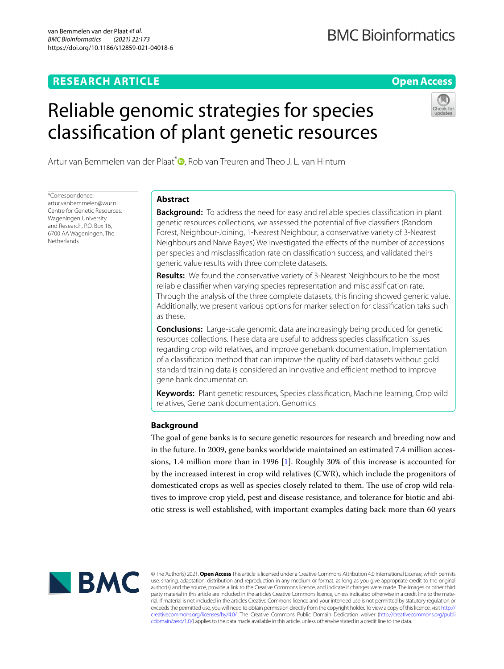# **RESEARCH ARTICLE**

# **Open Access**

# Reliable genomic strategies for species classifcation of plant genetic resources



Artur van Bemmelen van der Plaat<sup>\*</sup> [,](http://orcid.org/0000-0003-3450-2343) Rob van Treuren and Theo J. L. van Hintum

\*Correspondence: artur.vanbemmelen@wur.nl Centre for Genetic Resources, Wageningen University and Research, P.O. Box 16, 6700 AA Wageningen, The Netherlands

# **Abstract**

**Background:** To address the need for easy and reliable species classifcation in plant genetic resources collections, we assessed the potential of fve classifers (Random Forest, Neighbour-Joining, 1-Nearest Neighbour, a conservative variety of 3-Nearest Neighbours and Naive Bayes) We investigated the efects of the number of accessions per species and misclassifcation rate on classifcation success, and validated theirs generic value results with three complete datasets.

**Results:** We found the conservative variety of 3-Nearest Neighbours to be the most reliable classifer when varying species representation and misclassifcation rate. Through the analysis of the three complete datasets, this fnding showed generic value. Additionally, we present various options for marker selection for classifcation taks such as these.

**Conclusions:** Large-scale genomic data are increasingly being produced for genetic resources collections. These data are useful to address species classifcation issues regarding crop wild relatives, and improve genebank documentation. Implementation of a classifcation method that can improve the quality of bad datasets without gold standard training data is considered an innovative and efficient method to improve gene bank documentation.

**Keywords:** Plant genetic resources, Species classifcation, Machine learning, Crop wild relatives, Gene bank documentation, Genomics

# **Background**

The goal of gene banks is to secure genetic resources for research and breeding now and in the future. In 2009, gene banks worldwide maintained an estimated 7.4 million accessions, 1.4 million more than in 1996 [[1\]](#page-15-0). Roughly 30% of this increase is accounted for by the increased interest in crop wild relatives (CWR), which include the progenitors of domesticated crops as well as species closely related to them. The use of crop wild relatives to improve crop yield, pest and disease resistance, and tolerance for biotic and abiotic stress is well established, with important examples dating back more than 60 years



© The Author(s) 2021. **Open Access** This article is licensed under a Creative Commons Attribution 4.0 International License, which permits use, sharing, adaptation, distribution and reproduction in any medium or format, as long as you give appropriate credit to the original author(s) and the source, provide a link to the Creative Commons licence, and indicate if changes were made. The images or other third party material in this article are included in the article's Creative Commons licence, unless indicated otherwise in a credit line to the material. If material is not included in the article's Creative Commons licence and your intended use is not permitted by statutory regulation or exceeds the permitted use, you will need to obtain permission directly from the copyright holder. To view a copy of this licence, visit [http://](http://creativecommons.org/licenses/by/4.0/) [creativecommons.org/licenses/by/4.0/.](http://creativecommons.org/licenses/by/4.0/) The Creative Commons Public Domain Dedication waiver [\(http://creativecommons.org/publi](http://creativecommons.org/publicdomain/zero/1.0/) [cdomain/zero/1.0/\)](http://creativecommons.org/publicdomain/zero/1.0/) applies to the data made available in this article, unless otherwise stated in a credit line to the data.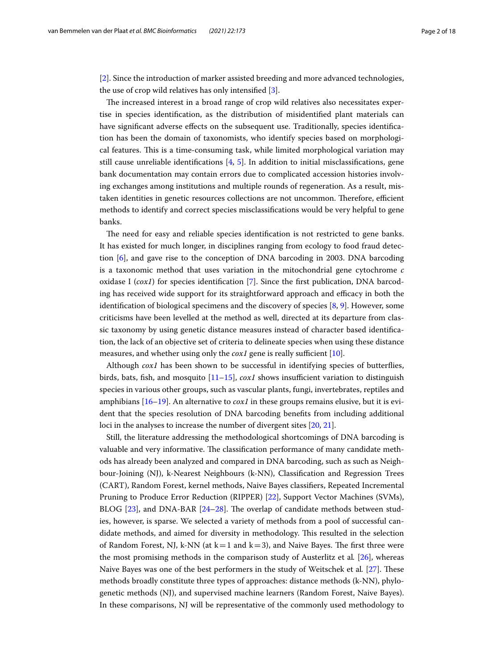[[2\]](#page-15-1). Since the introduction of marker assisted breeding and more advanced technologies, the use of crop wild relatives has only intensifed [[3](#page-15-2)].

The increased interest in a broad range of crop wild relatives also necessitates expertise in species identifcation, as the distribution of misidentifed plant materials can have signifcant adverse efects on the subsequent use. Traditionally, species identifcation has been the domain of taxonomists, who identify species based on morphological features. Tis is a time-consuming task, while limited morphological variation may still cause unreliable identifications  $[4, 5]$  $[4, 5]$  $[4, 5]$  $[4, 5]$  $[4, 5]$ . In addition to initial misclassifications, gene bank documentation may contain errors due to complicated accession histories involving exchanges among institutions and multiple rounds of regeneration. As a result, mistaken identities in genetic resources collections are not uncommon. Therefore, efficient methods to identify and correct species misclassifcations would be very helpful to gene banks.

The need for easy and reliable species identification is not restricted to gene banks. It has existed for much longer, in disciplines ranging from ecology to food fraud detection [[6\]](#page-16-2), and gave rise to the conception of DNA barcoding in 2003. DNA barcoding is a taxonomic method that uses variation in the mitochondrial gene cytochrome *c* oxidase I (*cox1*) for species identifcation [[7](#page-16-3)]. Since the frst publication, DNA barcoding has received wide support for its straightforward approach and efficacy in both the identification of biological specimens and the discovery of species  $[8, 9]$  $[8, 9]$  $[8, 9]$  $[8, 9]$  $[8, 9]$ . However, some criticisms have been levelled at the method as well, directed at its departure from classic taxonomy by using genetic distance measures instead of character based identifcation, the lack of an objective set of criteria to delineate species when using these distance measures, and whether using only the  $\cos 1$  gene is really sufficient [\[10](#page-16-6)].

Although *cox1* has been shown to be successful in identifying species of butterfies, birds, bats, fish, and mosquito  $[11-15]$  $[11-15]$ ,  $cox1$  shows insufficient variation to distinguish species in various other groups, such as vascular plants, fungi, invertebrates, reptiles and amphibians [[16](#page-16-9)[–19](#page-16-10)]. An alternative to *cox1* in these groups remains elusive, but it is evident that the species resolution of DNA barcoding benefts from including additional loci in the analyses to increase the number of divergent sites [[20,](#page-16-11) [21\]](#page-16-12).

Still, the literature addressing the methodological shortcomings of DNA barcoding is valuable and very informative. The classification performance of many candidate methods has already been analyzed and compared in DNA barcoding, such as such as Neighbour-Joining (NJ), k-Nearest Neighbours (k-NN), Classifcation and Regression Trees (CART), Random Forest, kernel methods, Naive Bayes classifers, Repeated Incremental Pruning to Produce Error Reduction (RIPPER) [[22\]](#page-16-13), Support Vector Machines (SVMs), BLOG  $[23]$  $[23]$ , and DNA-BAR  $[24-28]$  $[24-28]$  $[24-28]$ . The overlap of candidate methods between studies, however, is sparse. We selected a variety of methods from a pool of successful candidate methods, and aimed for diversity in methodology. This resulted in the selection of Random Forest, NJ, k-NN (at  $k=1$  and  $k=3$ ), and Naive Bayes. The first three were the most promising methods in the comparison study of Austerlitz et al*.* [[26\]](#page-16-17), whereas Naive Bayes was one of the best performers in the study of Weitschek et al. [[27\]](#page-16-18). These methods broadly constitute three types of approaches: distance methods (k-NN), phylogenetic methods (NJ), and supervised machine learners (Random Forest, Naive Bayes). In these comparisons, NJ will be representative of the commonly used methodology to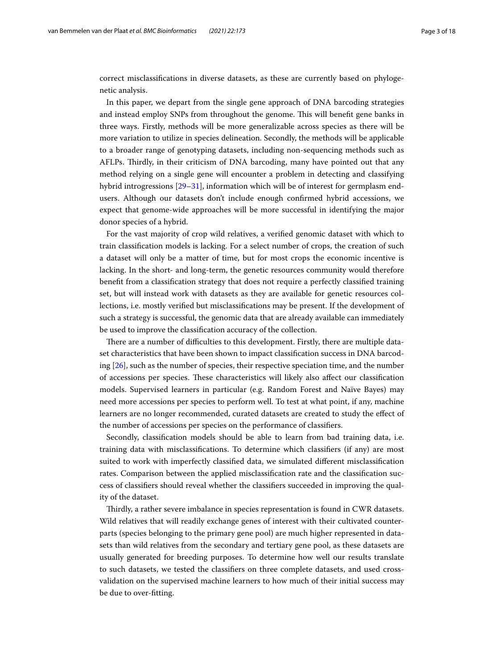correct misclassifcations in diverse datasets, as these are currently based on phylogenetic analysis.

In this paper, we depart from the single gene approach of DNA barcoding strategies and instead employ SNPs from throughout the genome. This will benefit gene banks in three ways. Firstly, methods will be more generalizable across species as there will be more variation to utilize in species delineation. Secondly, the methods will be applicable to a broader range of genotyping datasets, including non-sequencing methods such as AFLPs. Tirdly, in their criticism of DNA barcoding, many have pointed out that any method relying on a single gene will encounter a problem in detecting and classifying hybrid introgressions [\[29](#page-16-19)[–31](#page-16-20)], information which will be of interest for germplasm endusers. Although our datasets don't include enough confrmed hybrid accessions, we expect that genome-wide approaches will be more successful in identifying the major donor species of a hybrid.

For the vast majority of crop wild relatives, a verifed genomic dataset with which to train classifcation models is lacking. For a select number of crops, the creation of such a dataset will only be a matter of time, but for most crops the economic incentive is lacking. In the short- and long-term, the genetic resources community would therefore beneft from a classifcation strategy that does not require a perfectly classifed training set, but will instead work with datasets as they are available for genetic resources collections, i.e. mostly verifed but misclassifcations may be present. If the development of such a strategy is successful, the genomic data that are already available can immediately be used to improve the classifcation accuracy of the collection.

There are a number of difficulties to this development. Firstly, there are multiple dataset characteristics that have been shown to impact classifcation success in DNA barcoding [[26\]](#page-16-17), such as the number of species, their respective speciation time, and the number of accessions per species. These characteristics will likely also affect our classification models. Supervised learners in particular (e.g. Random Forest and Naïve Bayes) may need more accessions per species to perform well. To test at what point, if any, machine learners are no longer recommended, curated datasets are created to study the efect of the number of accessions per species on the performance of classifers.

Secondly, classifcation models should be able to learn from bad training data, i.e. training data with misclassifcations. To determine which classifers (if any) are most suited to work with imperfectly classifed data, we simulated diferent misclassifcation rates. Comparison between the applied misclassifcation rate and the classifcation success of classifers should reveal whether the classifers succeeded in improving the quality of the dataset.

Tirdly, a rather severe imbalance in species representation is found in CWR datasets. Wild relatives that will readily exchange genes of interest with their cultivated counterparts (species belonging to the primary gene pool) are much higher represented in datasets than wild relatives from the secondary and tertiary gene pool, as these datasets are usually generated for breeding purposes. To determine how well our results translate to such datasets, we tested the classifers on three complete datasets, and used crossvalidation on the supervised machine learners to how much of their initial success may be due to over-ftting.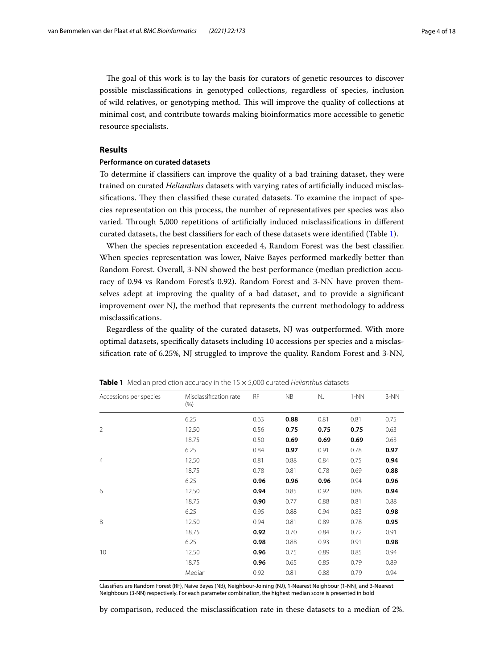The goal of this work is to lay the basis for curators of genetic resources to discover possible misclassifcations in genotyped collections, regardless of species, inclusion of wild relatives, or genotyping method. Tis will improve the quality of collections at minimal cost, and contribute towards making bioinformatics more accessible to genetic resource specialists.

# **Results**

#### **Performance on curated datasets**

To determine if classifers can improve the quality of a bad training dataset, they were trained on curated *Helianthus* datasets with varying rates of artifcially induced misclassifications. They then classified these curated datasets. To examine the impact of species representation on this process, the number of representatives per species was also varied. Through 5,000 repetitions of artificially induced misclassifications in different curated datasets, the best classifers for each of these datasets were identifed (Table [1](#page-3-0)).

When the species representation exceeded 4, Random Forest was the best classifer. When species representation was lower, Naive Bayes performed markedly better than Random Forest. Overall, 3-NN showed the best performance (median prediction accuracy of 0.94 vs Random Forest's 0.92). Random Forest and 3-NN have proven themselves adept at improving the quality of a bad dataset, and to provide a signifcant improvement over NJ, the method that represents the current methodology to address misclassifcations.

Regardless of the quality of the curated datasets, NJ was outperformed. With more optimal datasets, specifcally datasets including 10 accessions per species and a misclassifcation rate of 6.25%, NJ struggled to improve the quality. Random Forest and 3-NN,

| Accessions per species | Misclassification rate<br>(% ) | <b>RF</b> | NB   | NJ   | $1-NN$ | 3-NN |
|------------------------|--------------------------------|-----------|------|------|--------|------|
|                        | 6.25                           | 0.63      | 0.88 | 0.81 | 0.81   | 0.75 |
| $\overline{2}$         | 12.50                          | 0.56      | 0.75 | 0.75 | 0.75   | 0.63 |
|                        | 18.75                          | 0.50      | 0.69 | 0.69 | 0.69   | 0.63 |
|                        | 6.25                           | 0.84      | 0.97 | 0.91 | 0.78   | 0.97 |
| $\overline{4}$         | 12.50                          | 0.81      | 0.88 | 0.84 | 0.75   | 0.94 |
|                        | 18.75                          | 0.78      | 0.81 | 0.78 | 0.69   | 0.88 |
|                        | 6.25                           | 0.96      | 0.96 | 0.96 | 0.94   | 0.96 |
| 6                      | 12.50                          | 0.94      | 0.85 | 0.92 | 0.88   | 0.94 |
|                        | 18.75                          | 0.90      | 0.77 | 0.88 | 0.81   | 0.88 |
|                        | 6.25                           | 0.95      | 0.88 | 0.94 | 0.83   | 0.98 |
| 8                      | 12.50                          | 0.94      | 0.81 | 0.89 | 0.78   | 0.95 |
|                        | 18.75                          | 0.92      | 0.70 | 0.84 | 0.72   | 0.91 |
|                        | 6.25                           | 0.98      | 0.88 | 0.93 | 0.91   | 0.98 |
| 10                     | 12.50                          | 0.96      | 0.75 | 0.89 | 0.85   | 0.94 |
|                        | 18.75                          | 0.96      | 0.65 | 0.85 | 0.79   | 0.89 |
|                        | Median                         | 0.92      | 0.81 | 0.88 | 0.79   | 0.94 |

<span id="page-3-0"></span>**Table 1** Median prediction accuracy in the 15×5,000 curated *Helianthus* datasets

Classifers are Random Forest (RF), Naive Bayes (NB), Neighbour-Joining (NJ), 1-Nearest Neighbour (1-NN), and 3-Nearest Neighbours (3-NN) respectively. For each parameter combination, the highest median score is presented in bold

by comparison, reduced the misclassifcation rate in these datasets to a median of 2%.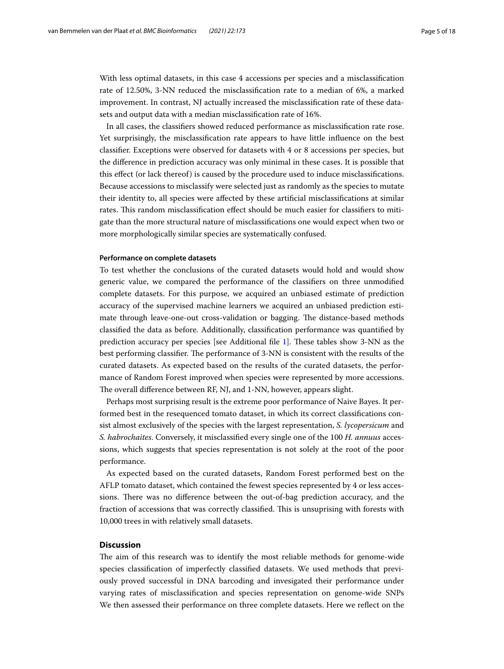With less optimal datasets, in this case 4 accessions per species and a misclassifcation rate of 12.50%, 3-NN reduced the misclassifcation rate to a median of 6%, a marked improvement. In contrast, NJ actually increased the misclassifcation rate of these datasets and output data with a median misclassifcation rate of 16%.

In all cases, the classifers showed reduced performance as misclassifcation rate rose. Yet surprisingly, the misclassifcation rate appears to have little infuence on the best classifer. Exceptions were observed for datasets with 4 or 8 accessions per species, but the diference in prediction accuracy was only minimal in these cases. It is possible that this efect (or lack thereof) is caused by the procedure used to induce misclassifcations. Because accessions to misclassify were selected just as randomly as the species to mutate their identity to, all species were afected by these artifcial misclassifcations at similar rates. This random misclassification effect should be much easier for classifiers to mitigate than the more structural nature of misclassifcations one would expect when two or more morphologically similar species are systematically confused.

#### **Performance on complete datasets**

To test whether the conclusions of the curated datasets would hold and would show generic value, we compared the performance of the classifers on three unmodifed complete datasets. For this purpose, we acquired an unbiased estimate of prediction accuracy of the supervised machine learners we acquired an unbiased prediction estimate through leave-one-out cross-validation or bagging. The distance-based methods classifed the data as before. Additionally, classifcation performance was quantifed by prediction accuracy per species [see Additional file [1\]](#page-15-3). These tables show 3-NN as the best performing classifier. The performance of 3-NN is consistent with the results of the curated datasets. As expected based on the results of the curated datasets, the performance of Random Forest improved when species were represented by more accessions. The overall difference between RF, NJ, and 1-NN, however, appears slight.

Perhaps most surprising result is the extreme poor performance of Naive Bayes. It performed best in the resequenced tomato dataset, in which its correct classifcations consist almost exclusively of the species with the largest representation, *S. lycopersicum* and *S. habrochaites*. Conversely, it misclassifed every single one of the 100 *H. annuus* accessions, which suggests that species representation is not solely at the root of the poor performance.

As expected based on the curated datasets, Random Forest performed best on the AFLP tomato dataset, which contained the fewest species represented by 4 or less accessions. There was no difference between the out-of-bag prediction accuracy, and the fraction of accessions that was correctly classified. This is unsuprising with forests with 10,000 trees in with relatively small datasets.

# **Discussion**

The aim of this research was to identify the most reliable methods for genome-wide species classifcation of imperfectly classifed datasets. We used methods that previously proved successful in DNA barcoding and invesigated their performance under varying rates of misclassifcation and species representation on genome-wide SNPs We then assessed their performance on three complete datasets. Here we refect on the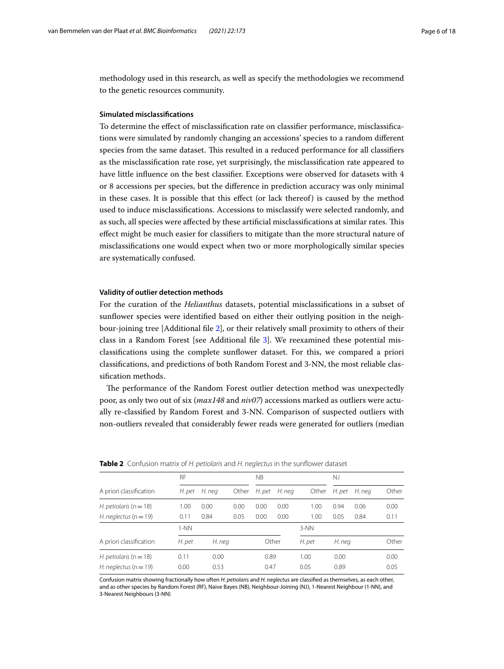methodology used in this research, as well as specify the methodologies we recommend to the genetic resources community.

# **Simulated misclassifcations**

To determine the efect of misclassifcation rate on classifer performance, misclassifcations were simulated by randomly changing an accessions' species to a random diferent species from the same dataset. Tis resulted in a reduced performance for all classifers as the misclassifcation rate rose, yet surprisingly, the misclassifcation rate appeared to have little infuence on the best classifer. Exceptions were observed for datasets with 4 or 8 accessions per species, but the diference in prediction accuracy was only minimal in these cases. It is possible that this efect (or lack thereof) is caused by the method used to induce misclassifcations. Accessions to misclassify were selected randomly, and as such, all species were afected by these artifcial misclassifcations at similar rates. Tis efect might be much easier for classifers to mitigate than the more structural nature of misclassifcations one would expect when two or more morphologically similar species are systematically confused.

## **Validity of outlier detection methods**

For the curation of the *Helianthus* datasets, potential misclassifcations in a subset of sunfower species were identifed based on either their outlying position in the neighbour-joining tree [Additional fle [2\]](#page-15-4), or their relatively small proximity to others of their class in a Random Forest [see Additional fle [3\]](#page-15-5). We reexamined these potential misclassifcations using the complete sunfower dataset. For this, we compared a priori classifcations, and predictions of both Random Forest and 3-NN, the most reliable classifcation methods.

The performance of the Random Forest outlier detection method was unexpectedly poor, as only two out of six (*max148* and *niv07*) accessions marked as outliers were actually re-classifed by Random Forest and 3-NN. Comparison of suspected outliers with non-outliers revealed that considerably fewer reads were generated for outliers (median

| <b>NOTE:</b> COMPOSITING IN OFFICIONIS GIRL INTEGRATOR IN THE SUMPORT GUILDEL |        |        |       |           |        |        |        |        |       |
|-------------------------------------------------------------------------------|--------|--------|-------|-----------|--------|--------|--------|--------|-------|
|                                                                               | RF     |        |       | <b>NB</b> |        |        | NJ     |        |       |
| A priori classification                                                       | H. pet | H. neg | Other | H. pet    | H. neg | Other  | H. pet | H. neg | Other |
| H. petiolaris ( $n = 18$ )                                                    | 1.00   | 0.00   | 0.00  | 0.00      | 0.00   | 1.00   | 0.94   | 0.06   | 0.00  |
| H. neglectus ( $n = 19$ )                                                     | 0.11   | 0.84   | 0.05  | 0.00      | 0.00   | 1.00   | 0.05   | 0.84   | 0.11  |
|                                                                               | $1-NN$ |        |       |           |        | $3-NN$ |        |        |       |
| A priori classification                                                       | H. pet | H. neg |       | Other     |        | H. pet | H. neg |        | Other |
| H. petiolaris ( $n = 18$ )                                                    | 0.11   | 0.00   |       | 0.89      |        | 1.00   | 0.00   |        | 0.00  |
| H. neglectus ( $n = 19$ )                                                     | 0.00   | 0.53   |       | 0.47      |        | 0.05   | 0.89   |        | 0.05  |

<span id="page-5-0"></span>**Table 2** Confusion matrix of *H. petiolaris* and *H. neglectus* in the sunfower dataset

Confusion matrix showing fractionally how often *H. petiolaris* and *H. neglectus* are classifed as themselves, as each other, and as other species by Random Forest (RF), Naive Bayes (NB), Neighbour-Joining (NJ), 1-Nearest Neighbour (1-NN), and 3-Nearest Neighbours (3-NN)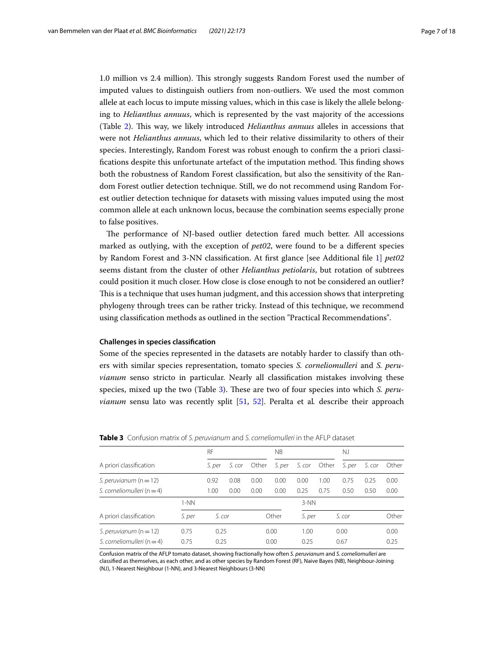1.0 million vs 2.4 million). Tis strongly suggests Random Forest used the number of imputed values to distinguish outliers from non-outliers. We used the most common allele at each locus to impute missing values, which in this case is likely the allele belonging to *Helianthus annuus*, which is represented by the vast majority of the accessions (Table [2\)](#page-5-0). Tis way, we likely introduced *Helianthus annuus* alleles in accessions that were not *Helianthus annuus*, which led to their relative dissimilarity to others of their species. Interestingly, Random Forest was robust enough to confrm the a priori classifications despite this unfortunate artefact of the imputation method. This finding shows both the robustness of Random Forest classifcation, but also the sensitivity of the Random Forest outlier detection technique. Still, we do not recommend using Random Forest outlier detection technique for datasets with missing values imputed using the most common allele at each unknown locus, because the combination seems especially prone to false positives.

The performance of NJ-based outlier detection fared much better. All accessions marked as outlying, with the exception of *pet02*, were found to be a diferent species by Random Forest and 3-NN classifcation. At frst glance [see Additional fle [1\]](#page-15-3) *pet02* seems distant from the cluster of other *Helianthus petiolaris*, but rotation of subtrees could position it much closer. How close is close enough to not be considered an outlier? This is a technique that uses human judgment, and this accession shows that interpreting phylogeny through trees can be rather tricky. Instead of this technique, we recommend using classifcation methods as outlined in the section "Practical Recommendations".

# **Challenges in species classifcation**

Some of the species represented in the datasets are notably harder to classify than others with similar species representation, tomato species *S. corneliomulleri* and *S. peruvianum* senso stricto in particular. Nearly all classifcation mistakes involving these species, mixed up the two (Table [3\)](#page-6-0). These are two of four species into which *S. peruvianum* sensu lato was recently split [\[51](#page-17-0), [52\]](#page-17-1). Peralta et al*.* describe their approach

|                                |        | <b>RF</b> |        |       | ΝB     |        |       | N.J    |        |       |
|--------------------------------|--------|-----------|--------|-------|--------|--------|-------|--------|--------|-------|
| A priori classification        |        | S. per    | S. cor | Other | S. per | S. cor | Other | S. per | S. cor | Other |
| S. peruvianum $(n = 12)$       |        | 0.92      | 0.08   | 0.00  | 0.00   | 0.00   | 1.00  | 0.75   | 0.25   | 0.00  |
| S. corneliomulleri ( $n = 4$ ) |        | 1.00      | 0.00   | 0.00  | 0.00   | 0.25   | 0.75  | 0.50   | 0.50   | 0.00  |
|                                | $1-NN$ |           |        |       |        | $3-NN$ |       |        |        |       |
| A priori classification        | S. per | S. cor    |        |       | Other  | S. per |       | S. cor |        | Other |
| S. peruvianum $(n=12)$         | 0.75   | 0.25      |        | 0.00  |        | 1.00   |       | 0.00   |        | 0.00  |
| S. corneliomulleri ( $n = 4$ ) | 0.75   | 0.25      |        | 0.00  |        | 0.25   |       | 0.67   |        | 0.25  |

<span id="page-6-0"></span>**Table 3** Confusion matrix of *S. peruvianum* and *S. corneliomulleri* in the AFLP dataset

Confusion matrix of the AFLP tomato dataset, showing fractionally how often *S. peruvianum* and *S. corneliomulleri* are classifed as themselves, as each other, and as other species by Random Forest (RF), Naive Bayes (NB), Neighbour-Joining (NJ), 1-Nearest Neighbour (1-NN), and 3-Nearest Neighbours (3-NN)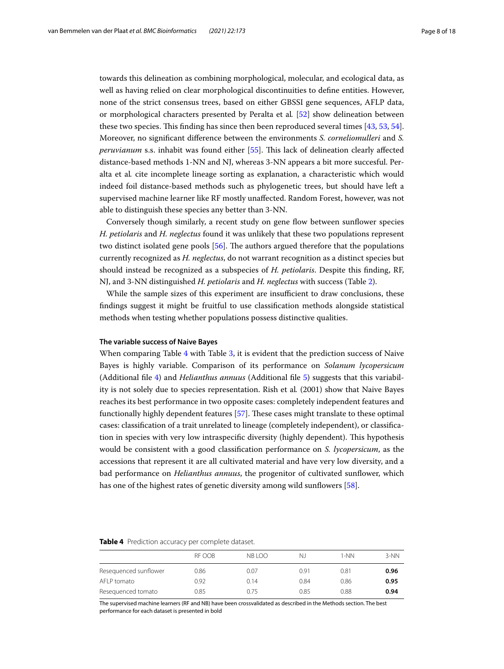towards this delineation as combining morphological, molecular, and ecological data, as well as having relied on clear morphological discontinuities to defne entities. However, none of the strict consensus trees, based on either GBSSI gene sequences, AFLP data, or morphological characters presented by Peralta et al*.* [\[52](#page-17-1)] show delineation between these two species. This finding has since then been reproduced several times [[43,](#page-17-2) [53,](#page-17-3) [54](#page-17-4)]. Moreover, no signifcant diference between the environments *S. corneliomulleri* and *S. peruvianum* s.s. inhabit was found either [[55\]](#page-17-5). This lack of delineation clearly affected distance-based methods 1-NN and NJ, whereas 3-NN appears a bit more succesful. Peralta et al*.* cite incomplete lineage sorting as explanation, a characteristic which would indeed foil distance-based methods such as phylogenetic trees, but should have left a supervised machine learner like RF mostly unafected. Random Forest, however, was not able to distinguish these species any better than 3-NN.

Conversely though similarly, a recent study on gene fow between sunfower species *H. petiolaris* and *H. neglectus* found it was unlikely that these two populations represent two distinct isolated gene pools [[56\]](#page-17-6). The authors argued therefore that the populations currently recognized as *H. neglectus*, do not warrant recognition as a distinct species but should instead be recognized as a subspecies of *H. petiolaris*. Despite this fnding, RF, NJ, and 3-NN distinguished *H. petiolaris* and *H. neglectus* with success (Table [2](#page-5-0)).

While the sample sizes of this experiment are insufficient to draw conclusions, these fndings suggest it might be fruitful to use classifcation methods alongside statistical methods when testing whether populations possess distinctive qualities.

# **The variable success of Naive Bayes**

When comparing Table [4](#page-7-0) with Table [3](#page-6-0), it is evident that the prediction success of Naive Bayes is highly variable. Comparison of its performance on *Solanum lycopersicum* (Additional fle [4\)](#page-15-6) and *Helianthus annuus* (Additional fle [5](#page-15-7)) suggests that this variability is not solely due to species representation. Rish et al*.* (2001) show that Naive Bayes reaches its best performance in two opposite cases: completely independent features and functionally highly dependent features [\[57\]](#page-17-7). These cases might translate to these optimal cases: classifcation of a trait unrelated to lineage (completely independent), or classifcation in species with very low intraspecific diversity (highly dependent). This hypothesis would be consistent with a good classifcation performance on *S. lycopersicum*, as the accessions that represent it are all cultivated material and have very low diversity, and a bad performance on *Helianthus annuus*, the progenitor of cultivated sunfower, which has one of the highest rates of genetic diversity among wild sunflowers [[58\]](#page-17-8).

#### <span id="page-7-0"></span>**Table 4** Prediction accuracy per complete dataset.

|                       | RF OOB | NB <sub>100</sub> | Ν.   | 1-NN | 3-NN |
|-----------------------|--------|-------------------|------|------|------|
| Resequenced sunflower | 0.86   | 0.07              | 0.91 | 0.81 | 0.96 |
| AFLP tomato           | 0.92   | 0.14              | 0.84 | 0.86 | 0.95 |
| Resequenced tomato    | 0.85   | 0.75              | 0.85 | 0.88 | 0.94 |

The supervised machine learners (RF and NB) have been crossvalidated as described in the Methods section. The best performance for each dataset is presented in bold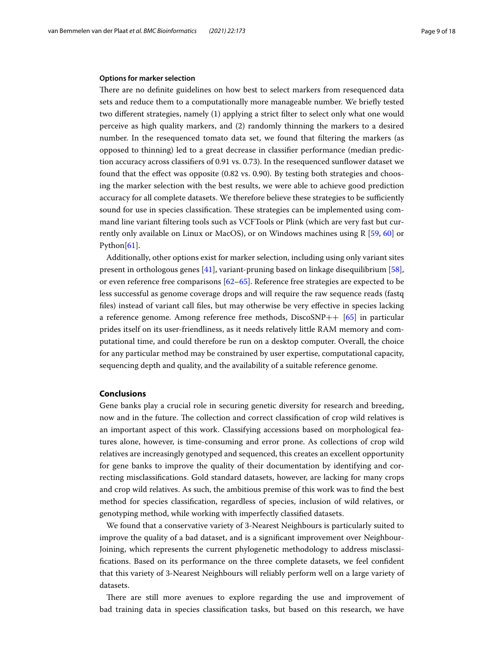## **Options for marker selection**

There are no definite guidelines on how best to select markers from resequenced data sets and reduce them to a computationally more manageable number. We briefy tested two diferent strategies, namely (1) applying a strict flter to select only what one would perceive as high quality markers, and (2) randomly thinning the markers to a desired number. In the resequenced tomato data set, we found that fltering the markers (as opposed to thinning) led to a great decrease in classifer performance (median prediction accuracy across classifers of 0.91 vs. 0.73). In the resequenced sunfower dataset we found that the efect was opposite (0.82 vs. 0.90). By testing both strategies and choosing the marker selection with the best results, we were able to achieve good prediction accuracy for all complete datasets. We therefore believe these strategies to be sufficiently sound for use in species classification. These strategies can be implemented using command line variant fltering tools such as VCFTools or Plink (which are very fast but currently only available on Linux or MacOS), or on Windows machines using R [\[59,](#page-17-9) [60\]](#page-17-10) or Python $[61]$  $[61]$ .

Additionally, other options exist for marker selection, including using only variant sites present in orthologous genes [\[41](#page-17-12)], variant-pruning based on linkage disequilibrium [\[58](#page-17-8)], or even reference free comparisons  $[62–65]$  $[62–65]$  $[62–65]$ . Reference free strategies are expected to be less successful as genome coverage drops and will require the raw sequence reads (fastq fles) instead of variant call fles, but may otherwise be very efective in species lacking a reference genome. Among reference free methods, DiscoSNP++ [[65\]](#page-17-14) in particular prides itself on its user-friendliness, as it needs relatively little RAM memory and computational time, and could therefore be run on a desktop computer. Overall, the choice for any particular method may be constrained by user expertise, computational capacity, sequencing depth and quality, and the availability of a suitable reference genome.

# **Conclusions**

Gene banks play a crucial role in securing genetic diversity for research and breeding, now and in the future. The collection and correct classification of crop wild relatives is an important aspect of this work. Classifying accessions based on morphological features alone, however, is time-consuming and error prone. As collections of crop wild relatives are increasingly genotyped and sequenced, this creates an excellent opportunity for gene banks to improve the quality of their documentation by identifying and correcting misclassifcations. Gold standard datasets, however, are lacking for many crops and crop wild relatives. As such, the ambitious premise of this work was to fnd the best method for species classifcation, regardless of species, inclusion of wild relatives, or genotyping method, while working with imperfectly classifed datasets.

We found that a conservative variety of 3-Nearest Neighbours is particularly suited to improve the quality of a bad dataset, and is a signifcant improvement over Neighbour-Joining, which represents the current phylogenetic methodology to address misclassifcations. Based on its performance on the three complete datasets, we feel confdent that this variety of 3-Nearest Neighbours will reliably perform well on a large variety of datasets.

There are still more avenues to explore regarding the use and improvement of bad training data in species classifcation tasks, but based on this research, we have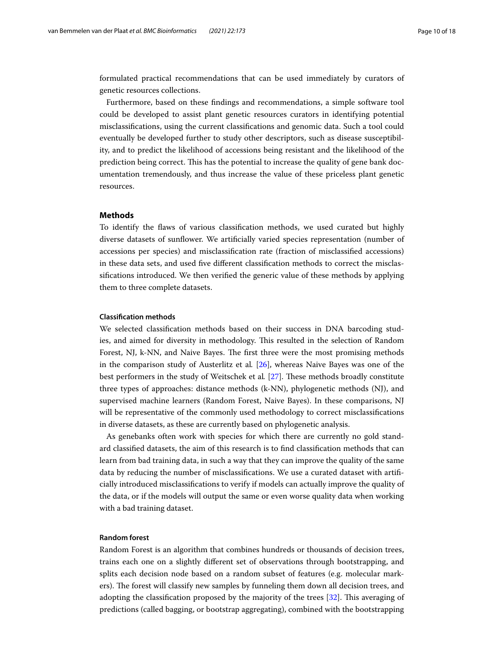formulated practical recommendations that can be used immediately by curators of genetic resources collections.

Furthermore, based on these fndings and recommendations, a simple software tool could be developed to assist plant genetic resources curators in identifying potential misclassifcations, using the current classifcations and genomic data. Such a tool could eventually be developed further to study other descriptors, such as disease susceptibility, and to predict the likelihood of accessions being resistant and the likelihood of the prediction being correct. Tis has the potential to increase the quality of gene bank documentation tremendously, and thus increase the value of these priceless plant genetic resources.

## **Methods**

To identify the faws of various classifcation methods, we used curated but highly diverse datasets of sunfower. We artifcially varied species representation (number of accessions per species) and misclassifcation rate (fraction of misclassifed accessions) in these data sets, and used fve diferent classifcation methods to correct the misclassifcations introduced. We then verifed the generic value of these methods by applying them to three complete datasets.

## **Classifcation methods**

We selected classifcation methods based on their success in DNA barcoding studies, and aimed for diversity in methodology. This resulted in the selection of Random Forest, NJ, k-NN, and Naive Bayes. The first three were the most promising methods in the comparison study of Austerlitz et al*.* [[26\]](#page-16-17), whereas Naive Bayes was one of the best performers in the study of Weitschek et al. [[27\]](#page-16-18). These methods broadly constitute three types of approaches: distance methods (k-NN), phylogenetic methods (NJ), and supervised machine learners (Random Forest, Naive Bayes). In these comparisons, NJ will be representative of the commonly used methodology to correct misclassifcations in diverse datasets, as these are currently based on phylogenetic analysis.

As genebanks often work with species for which there are currently no gold standard classifed datasets, the aim of this research is to fnd classifcation methods that can learn from bad training data, in such a way that they can improve the quality of the same data by reducing the number of misclassifcations. We use a curated dataset with artifcially introduced misclassifcations to verify if models can actually improve the quality of the data, or if the models will output the same or even worse quality data when working with a bad training dataset.

# **Random forest**

Random Forest is an algorithm that combines hundreds or thousands of decision trees, trains each one on a slightly diferent set of observations through bootstrapping, and splits each decision node based on a random subset of features (e.g. molecular markers). The forest will classify new samples by funneling them down all decision trees, and adopting the classification proposed by the majority of the trees [[32\]](#page-16-21). This averaging of predictions (called bagging, or bootstrap aggregating), combined with the bootstrapping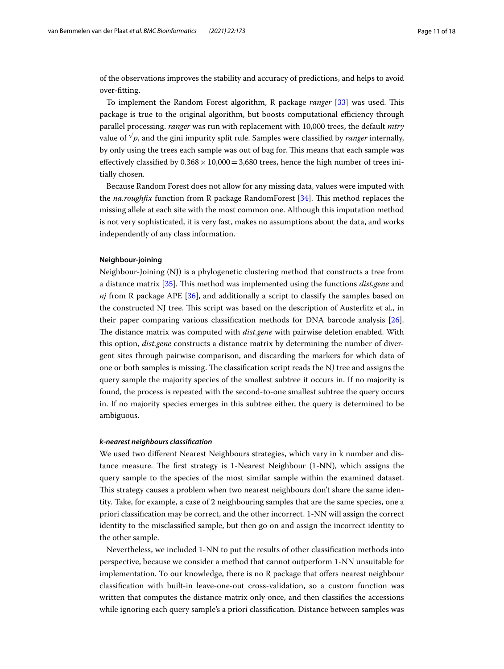of the observations improves the stability and accuracy of predictions, and helps to avoid over-ftting.

To implement the Random Forest algorithm, R package *ranger* [[33\]](#page-16-22) was used. Tis package is true to the original algorithm, but boosts computational efficiency through parallel processing. *ranger* was run with replacement with 10,000 trees, the default *mtry* value of *<sup>√</sup>p*, and the gini impurity split rule. Samples were classifed by *ranger* internally, by only using the trees each sample was out of bag for. Tis means that each sample was effectively classified by  $0.368 \times 10,000 = 3,680$  trees, hence the high number of trees initially chosen.

Because Random Forest does not allow for any missing data, values were imputed with the *na.roughfx* function from R package RandomForest [[34\]](#page-16-23). Tis method replaces the missing allele at each site with the most common one. Although this imputation method is not very sophisticated, it is very fast, makes no assumptions about the data, and works independently of any class information.

#### **Neighbour‑joining**

Neighbour-Joining (NJ) is a phylogenetic clustering method that constructs a tree from a distance matrix [[35\]](#page-16-24). Tis method was implemented using the functions *dist.gene* and *nj* from R package APE [[36](#page-16-25)], and additionally a script to classify the samples based on the constructed NJ tree. Tis script was based on the description of Austerlitz et al*.*, in their paper comparing various classifcation methods for DNA barcode analysis [\[26](#page-16-17)]. The distance matrix was computed with *dist.gene* with pairwise deletion enabled. With this option, *dist.gene* constructs a distance matrix by determining the number of divergent sites through pairwise comparison, and discarding the markers for which data of one or both samples is missing. The classification script reads the NJ tree and assigns the query sample the majority species of the smallest subtree it occurs in. If no majority is found, the process is repeated with the second-to-one smallest subtree the query occurs in. If no majority species emerges in this subtree either, the query is determined to be ambiguous.

## *k‑nearest neighbours classifcation*

We used two diferent Nearest Neighbours strategies, which vary in k number and distance measure. The first strategy is 1-Nearest Neighbour  $(1-NN)$ , which assigns the query sample to the species of the most similar sample within the examined dataset. This strategy causes a problem when two nearest neighbours don't share the same identity. Take, for example, a case of 2 neighbouring samples that are the same species, one a priori classifcation may be correct, and the other incorrect. 1-NN will assign the correct identity to the misclassifed sample, but then go on and assign the incorrect identity to the other sample.

Nevertheless, we included 1-NN to put the results of other classifcation methods into perspective, because we consider a method that cannot outperform 1-NN unsuitable for implementation. To our knowledge, there is no R package that ofers nearest neighbour classifcation with built-in leave-one-out cross-validation, so a custom function was written that computes the distance matrix only once, and then classifes the accessions while ignoring each query sample's a priori classifcation. Distance between samples was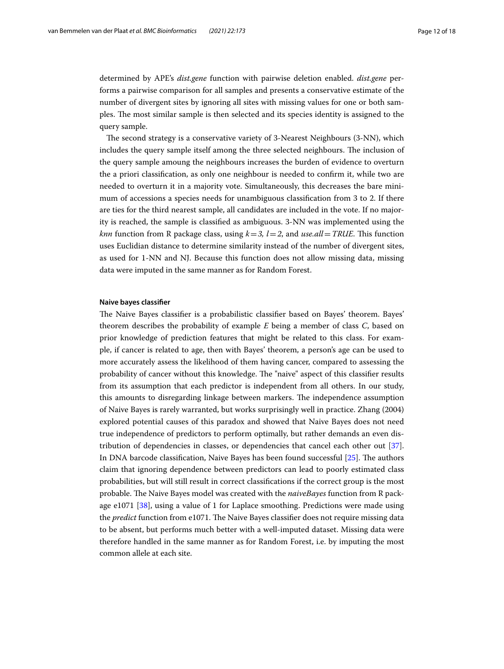determined by APE's *dist.gene* function with pairwise deletion enabled. *dist.gene* performs a pairwise comparison for all samples and presents a conservative estimate of the number of divergent sites by ignoring all sites with missing values for one or both samples. The most similar sample is then selected and its species identity is assigned to the query sample.

The second strategy is a conservative variety of 3-Nearest Neighbours (3-NN), which includes the query sample itself among the three selected neighbours. The inclusion of the query sample amoung the neighbours increases the burden of evidence to overturn the a priori classifcation, as only one neighbour is needed to confrm it, while two are needed to overturn it in a majority vote. Simultaneously, this decreases the bare minimum of accessions a species needs for unambiguous classifcation from 3 to 2. If there are ties for the third nearest sample, all candidates are included in the vote. If no majority is reached, the sample is classifed as ambiguous. 3-NN was implemented using the *knn* function from R package class, using  $k=3$ ,  $l=2$ , and *use.all* = *TRUE*. This function uses Euclidian distance to determine similarity instead of the number of divergent sites, as used for 1-NN and NJ. Because this function does not allow missing data, missing data were imputed in the same manner as for Random Forest.

#### **Naive bayes classifer**

The Naive Bayes classifier is a probabilistic classifier based on Bayes' theorem. Bayes' theorem describes the probability of example *E* being a member of class *C*, based on prior knowledge of prediction features that might be related to this class. For example, if cancer is related to age, then with Bayes' theorem, a person's age can be used to more accurately assess the likelihood of them having cancer, compared to assessing the probability of cancer without this knowledge. The "naive" aspect of this classifier results from its assumption that each predictor is independent from all others. In our study, this amounts to disregarding linkage between markers. The independence assumption of Naive Bayes is rarely warranted, but works surprisingly well in practice. Zhang (2004) explored potential causes of this paradox and showed that Naive Bayes does not need true independence of predictors to perform optimally, but rather demands an even distribution of dependencies in classes, or dependencies that cancel each other out [\[37](#page-16-26)]. In DNA barcode classification, Naive Bayes has been found successful [[25\]](#page-16-27). The authors claim that ignoring dependence between predictors can lead to poorly estimated class probabilities, but will still result in correct classifcations if the correct group is the most probable. The Naive Bayes model was created with the *naiveBayes* function from R package e1071 [[38\]](#page-16-28), using a value of 1 for Laplace smoothing. Predictions were made using the *predict* function from e1071. The Naive Bayes classifier does not require missing data to be absent, but performs much better with a well-imputed dataset. Missing data were therefore handled in the same manner as for Random Forest, i.e. by imputing the most common allele at each site.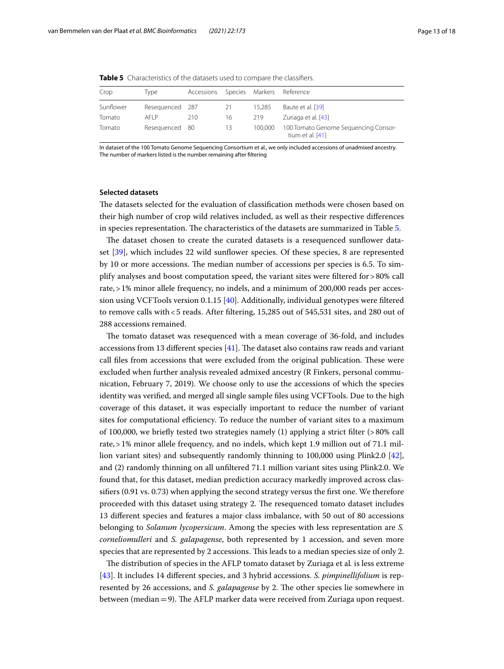| Crop      | Type            | Accessions | Species | Markers | Reference                                                |
|-----------|-----------------|------------|---------|---------|----------------------------------------------------------|
| Sunflower | Resequenced 287 |            | 21      | 15.285  | Baute et al. [39]                                        |
| Tomato    | AFI P           | 210        | 16      | 219     | Zuriaga et al. [43]                                      |
| Tomato    | Resequenced 80  |            | 13      | 100.000 | 100 Tomato Genome Sequencing Consor-<br>tium et al. [41] |

<span id="page-12-0"></span>**Table 5** Characteristics of the datasets used to compare the classifiers.

In dataset of the 100 Tomato Genome Sequencing Consortium et al., we only included accessions of unadmixed ancestry. The number of markers listed is the number remaining after fltering

# **Selected datasets**

The datasets selected for the evaluation of classification methods were chosen based on their high number of crop wild relatives included, as well as their respective diferences in species representation. The characteristics of the datasets are summarized in Table [5.](#page-12-0)

The dataset chosen to create the curated datasets is a resequenced sunflower dataset [[39\]](#page-16-29), which includes 22 wild sunfower species. Of these species, 8 are represented by 10 or more accessions. The median number of accessions per species is 6.5. To simplify analyses and boost computation speed, the variant sites were fltered for>80% call rate,>1% minor allele frequency, no indels, and a minimum of 200,000 reads per accession using VCFTools version 0.1.15 [\[40\]](#page-16-30). Additionally, individual genotypes were fltered to remove calls with <5 reads. After filtering, 15,285 out of 545,531 sites, and 280 out of 288 accessions remained.

The tomato dataset was resequenced with a mean coverage of 36-fold, and includes accessions from 13 different species  $[41]$  $[41]$ . The dataset also contains raw reads and variant call files from accessions that were excluded from the original publication. These were excluded when further analysis revealed admixed ancestry (R Finkers, personal communication, February 7, 2019). We choose only to use the accessions of which the species identity was verifed, and merged all single sample fles using VCFTools. Due to the high coverage of this dataset, it was especially important to reduce the number of variant sites for computational efficiency. To reduce the number of variant sites to a maximum of 100,000, we briefy tested two strategies namely (1) applying a strict flter (>80% call rate,>1% minor allele frequency, and no indels, which kept 1.9 million out of 71.1 million variant sites) and subsequently randomly thinning to 100,000 using Plink2.0 [\[42](#page-17-15)], and (2) randomly thinning on all unfltered 71.1 million variant sites using Plink2.0. We found that, for this dataset, median prediction accuracy markedly improved across classifers (0.91 vs. 0.73) when applying the second strategy versus the frst one. We therefore proceeded with this dataset using strategy 2. The resequenced tomato dataset includes 13 diferent species and features a major class imbalance, with 50 out of 80 accessions belonging to *Solanum lycopersicum*. Among the species with less representation are *S. corneliomulleri* and *S. galapagense*, both represented by 1 accession, and seven more species that are represented by 2 accessions. This leads to a median species size of only 2.

The distribution of species in the AFLP tomato dataset by Zuriaga et al. is less extreme [[43\]](#page-17-2). It includes 14 diferent species, and 3 hybrid accessions. *S. pimpinellifolium* is represented by 26 accessions, and *S. galapagense* by 2. The other species lie somewhere in between (median  $=$  9). The AFLP marker data were received from Zuriaga upon request.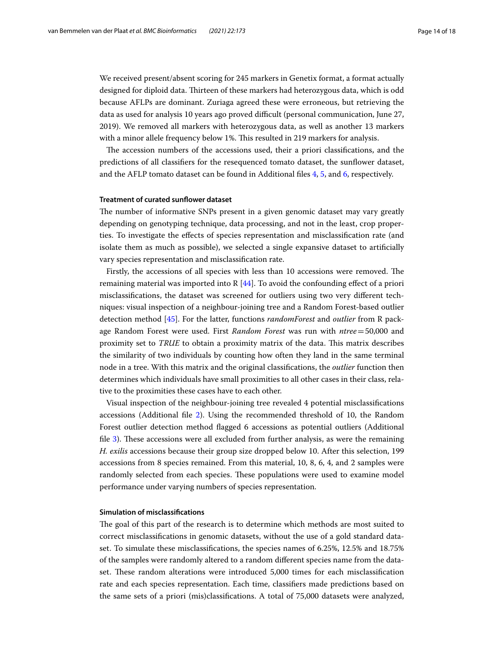We received present/absent scoring for 245 markers in Genetix format, a format actually designed for diploid data. Thirteen of these markers had heterozygous data, which is odd because AFLPs are dominant. Zuriaga agreed these were erroneous, but retrieving the data as used for analysis 10 years ago proved difcult (personal communication, June 27, 2019). We removed all markers with heterozygous data, as well as another 13 markers with a minor allele frequency below 1%. This resulted in 219 markers for analysis.

The accession numbers of the accessions used, their a priori classifications, and the predictions of all classifers for the resequenced tomato dataset, the sunfower dataset, and the AFLP tomato dataset can be found in Additional fles [4](#page-15-6), [5,](#page-15-7) and [6,](#page-15-8) respectively.

## **Treatment of curated sunfower dataset**

The number of informative SNPs present in a given genomic dataset may vary greatly depending on genotyping technique, data processing, and not in the least, crop properties. To investigate the efects of species representation and misclassifcation rate (and isolate them as much as possible), we selected a single expansive dataset to artifcially vary species representation and misclassifcation rate.

Firstly, the accessions of all species with less than 10 accessions were removed. The remaining material was imported into R  $[44]$ . To avoid the confounding effect of a priori misclassifcations, the dataset was screened for outliers using two very diferent techniques: visual inspection of a neighbour-joining tree and a Random Forest-based outlier detection method [\[45](#page-17-17)]. For the latter, functions *randomForest* and *outlier* from R package Random Forest were used. First *Random Forest* was run with *ntree*=50,000 and proximity set to *TRUE* to obtain a proximity matrix of the data. This matrix describes the similarity of two individuals by counting how often they land in the same terminal node in a tree. With this matrix and the original classifcations, the *outlier* function then determines which individuals have small proximities to all other cases in their class, relative to the proximities these cases have to each other.

Visual inspection of the neighbour-joining tree revealed 4 potential misclassifcations accessions (Additional fle [2](#page-15-4)). Using the recommended threshold of 10, the Random Forest outlier detection method fagged 6 accessions as potential outliers (Additional file [3](#page-15-5)). These accessions were all excluded from further analysis, as were the remaining *H. exilis* accessions because their group size dropped below 10. After this selection, 199 accessions from 8 species remained. From this material, 10, 8, 6, 4, and 2 samples were randomly selected from each species. These populations were used to examine model performance under varying numbers of species representation.

# **Simulation of misclassifcations**

The goal of this part of the research is to determine which methods are most suited to correct misclassifcations in genomic datasets, without the use of a gold standard dataset. To simulate these misclassifcations, the species names of 6.25%, 12.5% and 18.75% of the samples were randomly altered to a random diferent species name from the dataset. These random alterations were introduced 5,000 times for each misclassification rate and each species representation. Each time, classifers made predictions based on the same sets of a priori (mis)classifcations. A total of 75,000 datasets were analyzed,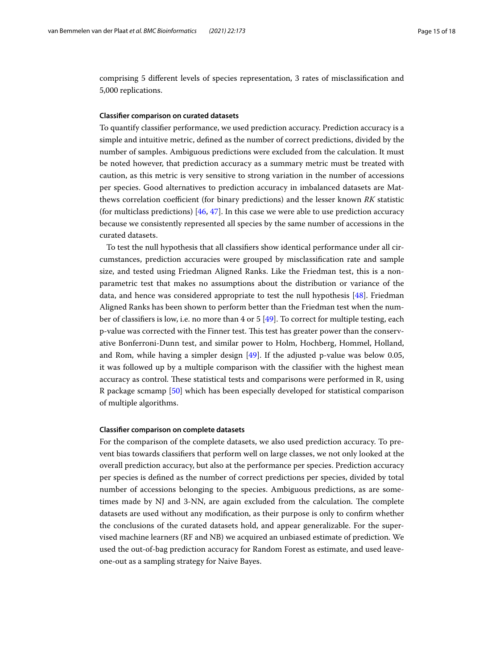comprising 5 diferent levels of species representation, 3 rates of misclassifcation and 5,000 replications.

## **Classifer comparison on curated datasets**

To quantify classifer performance, we used prediction accuracy. Prediction accuracy is a simple and intuitive metric, defned as the number of correct predictions, divided by the number of samples. Ambiguous predictions were excluded from the calculation. It must be noted however, that prediction accuracy as a summary metric must be treated with caution, as this metric is very sensitive to strong variation in the number of accessions per species. Good alternatives to prediction accuracy in imbalanced datasets are Matthews correlation coefficient (for binary predictions) and the lesser known *RK* statistic (for multiclass predictions) [[46,](#page-17-18) [47](#page-17-19)]. In this case we were able to use prediction accuracy because we consistently represented all species by the same number of accessions in the curated datasets.

To test the null hypothesis that all classifers show identical performance under all circumstances, prediction accuracies were grouped by misclassifcation rate and sample size, and tested using Friedman Aligned Ranks. Like the Friedman test, this is a nonparametric test that makes no assumptions about the distribution or variance of the data, and hence was considered appropriate to test the null hypothesis [[48](#page-17-20)]. Friedman Aligned Ranks has been shown to perform better than the Friedman test when the number of classifers is low, i.e. no more than 4 or 5 [\[49](#page-17-21)]. To correct for multiple testing, each p-value was corrected with the Finner test. This test has greater power than the conservative Bonferroni-Dunn test, and similar power to Holm, Hochberg, Hommel, Holland, and Rom, while having a simpler design [[49\]](#page-17-21). If the adjusted p-value was below 0.05, it was followed up by a multiple comparison with the classifer with the highest mean accuracy as control. These statistical tests and comparisons were performed in R, using R package scmamp [[50\]](#page-17-22) which has been especially developed for statistical comparison of multiple algorithms.

#### **Classifer comparison on complete datasets**

For the comparison of the complete datasets, we also used prediction accuracy. To prevent bias towards classifers that perform well on large classes, we not only looked at the overall prediction accuracy, but also at the performance per species. Prediction accuracy per species is defned as the number of correct predictions per species, divided by total number of accessions belonging to the species. Ambiguous predictions, as are sometimes made by NJ and 3-NN, are again excluded from the calculation. The complete datasets are used without any modifcation, as their purpose is only to confrm whether the conclusions of the curated datasets hold, and appear generalizable. For the supervised machine learners (RF and NB) we acquired an unbiased estimate of prediction. We used the out-of-bag prediction accuracy for Random Forest as estimate, and used leaveone-out as a sampling strategy for Naive Bayes.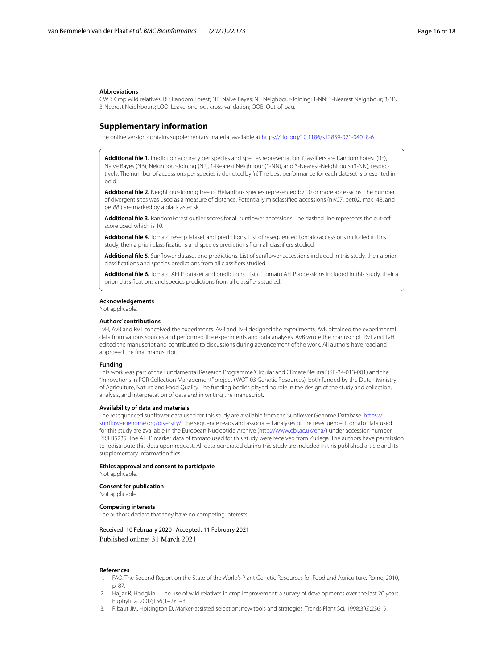#### **Abbreviations**

CWR: Crop wild relatives; RF: Random Forest; NB: Naive Bayes; NJ: Neighbour-Joining; 1-NN: 1-Nearest Neighbour; 3-NN: 3-Nearest Neighbours; LOO: Leave-one-out cross-validation; OOB: Out-of-bag.

#### **Supplementary information**

The online version contains supplementary material available at [https://doi.org/10.1186/s12859-021-04018-6.](https://doi.org/10.1186/s12859-021-04018-6)

<span id="page-15-3"></span>**Additional fle 1.** Prediction accuracy per species and species representation. Classifers are Random Forest (RF), Naive Bayes (NB), Neighbour-Joining (NJ), 1-Nearest Neighbour (1-NN), and 3-Nearest-Neighbours (3-NN), respectively. The number of accessions per species is denoted by 'n'. The best performance for each dataset is presented in bold.

<span id="page-15-4"></span>**Additional fle 2.** Neighbour-Joining tree of Helianthus species represented by 10 or more accessions. The number of divergent sites was used as a measure of distance. Potentially misclassifed accessions (niv07, pet02, max148, and pet88 ) are marked by a black asterisk.

<span id="page-15-6"></span><span id="page-15-5"></span>Additional file 3. RandomForest outlier scores for all sunflower accessions. The dashed line represents the cut-off score used, which is 10.

<span id="page-15-7"></span>**Additional fle 4.** Tomato reseq dataset and predictions. List of resequenced tomato accessions included in this study, their a priori classifcations and species predictions from all classifers studied.

<span id="page-15-8"></span>**Additional fle 5.** Sunfower dataset and predictions. List of sunfower accessions included in this study, their a priori classifcations and species predictions from all classifers studied.

**Additional fle 6.** Tomato AFLP dataset and predictions. List of tomato AFLP accessions included in this study, their a priori classifcations and species predictions from all classifers studied.

#### **Acknowledgements**

Not applicable.

#### **Authors' contributions**

TvH, AvB and RvT conceived the experiments. AvB and TvH designed the experiments. AvB obtained the experimental data from various sources and performed the experiments and data analyses. AvB wrote the manuscript. RvT and TvH edited the manuscript and contributed to discussions during advancement of the work. All authors have read and approved the fnal manuscript.

#### **Funding**

This work was part of the Fundamental Research Programme 'Circular and Climate Neutral' (KB-34-013-001) and the "Innovations in PGR Collection Management" project (WOT-03 Genetic Resources), both funded by the Dutch Ministry of Agriculture, Nature and Food Quality. The funding bodies played no role in the design of the study and collection, analysis, and interpretation of data and in writing the manuscript.

#### **Availability of data and materials**

The resequenced sunfower data used for this study are available from the Sunfower Genome Database: [https://](https://sunflowergenome.org/diversity/) [sunfowergenome.org/diversity/](https://sunflowergenome.org/diversity/). The sequence reads and associated analyses of the resequenced tomato data used for this study are available in the European Nucleotide Archive [\(http://www.ebi.ac.uk/ena/](http://www.ebi.ac.uk/ena/)) under accession number PRJEB5235. The AFLP marker data of tomato used for this study were received from Zuriaga. The authors have permission to redistribute this data upon request. All data generated during this study are included in this published article and its supplementary information fles.

# **Ethics approval and consent to participate**

Not applicable.

**Consent for publication** Not applicable.

#### **Competing interests**

The authors declare that they have no competing interests.

#### Received: 10 February 2020 Accepted: 11 February 2021 Published online: 31 March 2021

#### **References**

- <span id="page-15-0"></span>1. FAO. The Second Report on the State of the World's Plant Genetic Resources for Food and Agriculture. Rome, 2010, p. 87.
- <span id="page-15-1"></span>Hajjar R, Hodgkin T. The use of wild relatives in crop improvement: a survey of developments over the last 20 years. Euphytica. 2007;156(1–2):1–3.
- <span id="page-15-2"></span>3. Ribaut JM, Hoisington D. Marker-assisted selection: new tools and strategies. Trends Plant Sci. 1998;3(6):236–9.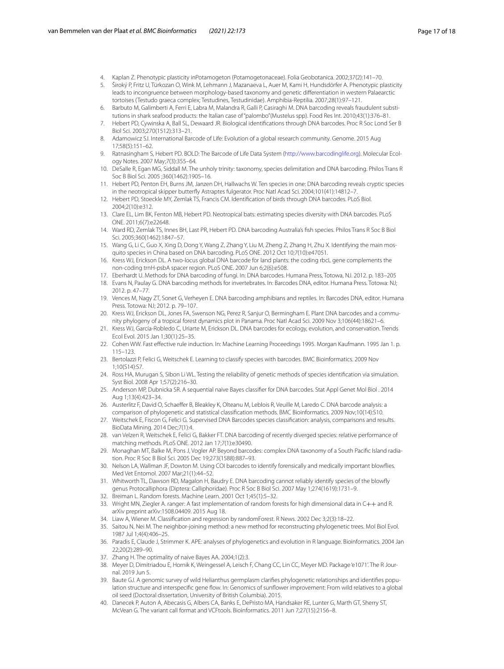- <span id="page-16-0"></span>4. Kaplan Z. Phenotypic plasticity inPotamogeton (Potamogetonaceae). Folia Geobotanica. 2002;37(2):141–70.
- <span id="page-16-1"></span>5. Široký P, Fritz U, Türkozan O, Wink M, Lehmann J, Mazanaeva L, Auer M, Kami H, Hundsdörfer A. Phenotypic plasticity leads to incongruence between morphology-based taxonomy and genetic diferentiation in western Palaearctic tortoises (Testudo graeca complex; Testudines, Testudinidae). Amphibia-Reptilia. 2007;28(1):97–121.
- <span id="page-16-2"></span>6. Barbuto M, Galimberti A, Ferri E, Labra M, Malandra R, Galli P, Casiraghi M. DNA barcoding reveals fraudulent substitutions in shark seafood products: the Italian case of "palombo"(Mustelus spp). Food Res Int. 2010;43(1):376–81.
- <span id="page-16-3"></span>7. Hebert PD, Cywinska A, Ball SL, Dewaard JR. Biological identifcations through DNA barcodes. Proc R Soc Lond Ser B Biol Sci. 2003;270(1512):313–21.
- <span id="page-16-4"></span>8. Adamowicz SJ. International Barcode of Life: Evolution of a global research community. Genome. 2015 Aug 17;58(5):151–62.
- <span id="page-16-5"></span>9. Ratnasingham S, Hebert PD. BOLD: The Barcode of Life Data System (<http://www.barcodinglife.org>). Molecular Ecology Notes. 2007 May;7(3):355–64.
- <span id="page-16-6"></span>10. DeSalle R, Egan MG, Siddall M. The unholy trinity: taxonomy, species delimitation and DNA barcoding. Philos Trans R Soc B Biol Sci. 2005 ;360(1462):1905–16.
- <span id="page-16-7"></span>11. Hebert PD, Penton EH, Burns JM, Janzen DH, Hallwachs W. Ten species in one: DNA barcoding reveals cryptic species in the neotropical skipper butterfy Astraptes fulgerator. Proc Natl Acad Sci. 2004;101(41):14812–7.
- 12. Hebert PD, Stoeckle MY, Zemlak TS, Francis CM. Identifcation of birds through DNA barcodes. PLoS Biol. 2004;2(10):e312.
- 13. Clare EL, Lim BK, Fenton MB, Hebert PD. Neotropical bats: estimating species diversity with DNA barcodes. PLoS ONE. 2011;6(7):e22648.
- 14. Ward RD, Zemlak TS, Innes BH, Last PR, Hebert PD. DNA barcoding Australia's fsh species. Philos Trans R Soc B Biol Sci. 2005;360(1462):1847–57.
- <span id="page-16-8"></span>15. Wang G, Li C, Guo X, Xing D, Dong Y, Wang Z, Zhang Y, Liu M, Zheng Z, Zhang H, Zhu X. Identifying the main mosquito species in China based on DNA barcoding. PLoS ONE. 2012 Oct 10;7(10):e47051.
- <span id="page-16-9"></span>16. Kress WJ, Erickson DL. A two-locus global DNA barcode for land plants: the coding rbcL gene complements the non-coding trnH-psbA spacer region. PLoS ONE. 2007 Jun 6;2(6):e508.
- 17. Eberhardt U. Methods for DNA barcoding of fungi. In: DNA barcodes. Humana Press, Totowa, NJ. 2012. p. 183–205 18. Evans N, Paulay G. DNA barcoding methods for invertebrates. In: Barcodes DNA, editor. Humana Press. Totowa: NJ; 2012. p. 47–77.
- <span id="page-16-10"></span>19. Vences M, Nagy ZT, Sonet G, Verheyen E. DNA barcoding amphibians and reptiles. In: Barcodes DNA, editor. Humana Press. Totowa: NJ; 2012. p. 79–107.
- <span id="page-16-11"></span>20. Kress WJ, Erickson DL, Jones FA, Swenson NG, Perez R, Sanjur O, Bermingham E. Plant DNA barcodes and a community phylogeny of a tropical forest dynamics plot in Panama. Proc Natl Acad Sci. 2009 Nov 3;106(44):18621–6.
- <span id="page-16-12"></span>21. Kress WJ, García-Robledo C, Uriarte M, Erickson DL. DNA barcodes for ecology, evolution, and conservation. Trends Ecol Evol. 2015 Jan 1;30(1):25–35.
- <span id="page-16-13"></span>22. Cohen WW. Fast efective rule induction. In: Machine Learning Proceedings 1995. Morgan Kaufmann. 1995 Jan 1. p. 115–123.
- <span id="page-16-14"></span>23. Bertolazzi P, Felici G, Weitschek E. Learning to classify species with barcodes. BMC Bioinformatics. 2009 Nov 1;10(S14):S7.
- <span id="page-16-15"></span>24. Ross HA, Murugan S, Sibon Li WL. Testing the reliability of genetic methods of species identifcation via simulation. Syst Biol. 2008 Apr 1;57(2):216–30.
- <span id="page-16-27"></span>25. Anderson MP, Dubnicka SR. A sequential naive Bayes classifer for DNA barcodes. Stat Appl Genet Mol Biol . 2014 Aug 1;13(4):423–34.
- <span id="page-16-17"></span>26. Austerlitz F, David O, Schaeffer B, Bleakley K, Olteanu M, Leblois R, Veuille M, Laredo C. DNA barcode analysis: a comparison of phylogenetic and statistical classifcation methods. BMC Bioinformatics. 2009 Nov;10(14):S10.
- <span id="page-16-18"></span>27. Weitschek E, Fiscon G, Felici G. Supervised DNA Barcodes species classifcation: analysis, comparisons and results. BioData Mining. 2014 Dec;7(1):4.
- <span id="page-16-16"></span>28. van Velzen R, Weitschek E, Felici G, Bakker FT. DNA barcoding of recently diverged species: relative performance of matching methods. PLoS ONE. 2012 Jan 17;7(1):e30490.
- <span id="page-16-19"></span>29. Monaghan MT, Balke M, Pons J, Vogler AP. Beyond barcodes: complex DNA taxonomy of a South Pacifc Island radiation. Proc R Soc B Biol Sci. 2005 Dec 19;273(1588):887–93.
- 30. Nelson LA, Wallman JF, Dowton M. Using COI barcodes to identify forensically and medically important blowfies. Med Vet Entomol. 2007 Mar;21(1):44–52.
- <span id="page-16-20"></span>31. Whitworth TL, Dawson RD, Magalon H, Baudry E. DNA barcoding cannot reliably identify species of the blowfy genus Protocalliphora (Diptera: Calliphoridae). Proc R Soc B Biol Sci. 2007 May 1;274(1619):1731–9.
- <span id="page-16-21"></span>32. Breiman L. Random forests. Machine Learn. 2001 Oct 1;45(1):5–32.
- <span id="page-16-22"></span>33. Wright MN, Ziegler A. ranger: A fast implementation of random forests for high dimensional data in C++ and R. arXiv preprint arXiv:1508.04409. 2015 Aug 18.
- <span id="page-16-23"></span>34. Liaw A, Wiener M. Classifcation and regression by randomForest. R News. 2002 Dec 3;2(3):18–22.
- <span id="page-16-24"></span>35. Saitou N, Nei M. The neighbor-joining method: a new method for reconstructing phylogenetic trees. Mol Biol Evol. 1987 Jul 1;4(4):406–25.
- <span id="page-16-25"></span>36. Paradis E, Claude J, Strimmer K. APE: analyses of phylogenetics and evolution in R language. Bioinformatics. 2004 Jan 22;20(2):289–90.
- <span id="page-16-26"></span>37. Zhang H. The optimality of naive Bayes AA. 2004;1(2):3.
- <span id="page-16-28"></span>38. Meyer D, Dimitriadou E, Hornik K, Weingessel A, Leisch F, Chang CC, Lin CC, Meyer MD. Package 'e1071'. The R Journal. 2019 Jun 5.
- <span id="page-16-29"></span>39. Baute GJ. A genomic survey of wild Helianthus germplasm clarifes phylogenetic relationships and identifes population structure and interspecifc gene fow. In: Genomics of sunfower improvement: From wild relatives to a global oil seed (Doctoral dissertation, University of British Columbia). 2015.
- <span id="page-16-30"></span>40. Danecek P, Auton A, Abecasis G, Albers CA, Banks E, DePristo MA, Handsaker RE, Lunter G, Marth GT, Sherry ST, McVean G. The variant call format and VCFtools. Bioinformatics. 2011 Jun 7;27(15):2156–8.